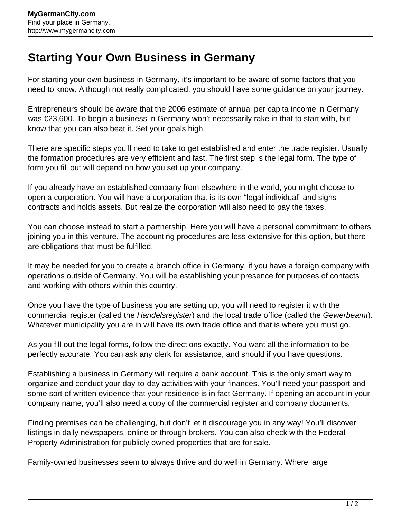## **Starting Your Own Business in Germany**

For starting your own business in Germany, it's important to be aware of some factors that you need to know. Although not really complicated, you should have some guidance on your journey.

Entrepreneurs should be aware that the 2006 estimate of annual per capita income in Germany was €23,600. To begin a business in Germany won't necessarily rake in that to start with, but know that you can also beat it. Set your goals high.

There are specific steps you'll need to take to get established and enter the trade register. Usually the formation procedures are very efficient and fast. The first step is the legal form. The type of form you fill out will depend on how you set up your company.

If you already have an established company from elsewhere in the world, you might choose to open a corporation. You will have a corporation that is its own "legal individual" and signs contracts and holds assets. But realize the corporation will also need to pay the taxes.

You can choose instead to start a partnership. Here you will have a personal commitment to others joining you in this venture. The accounting procedures are less extensive for this option, but there are obligations that must be fulfilled.

It may be needed for you to create a branch office in Germany, if you have a foreign company with operations outside of Germany. You will be establishing your presence for purposes of contacts and working with others within this country.

Once you have the type of business you are setting up, you will need to register it with the commercial register (called the Handelsregister) and the local trade office (called the Gewerbeamt). Whatever municipality you are in will have its own trade office and that is where you must go.

As you fill out the legal forms, follow the directions exactly. You want all the information to be perfectly accurate. You can ask any clerk for assistance, and should if you have questions.

Establishing a business in Germany will require a bank account. This is the only smart way to organize and conduct your day-to-day activities with your finances. You'll need your passport and some sort of written evidence that your residence is in fact Germany. If opening an account in your company name, you'll also need a copy of the commercial register and company documents.

Finding premises can be challenging, but don't let it discourage you in any way! You'll discover listings in daily newspapers, online or through brokers. You can also check with the Federal Property Administration for publicly owned properties that are for sale.

Family-owned businesses seem to always thrive and do well in Germany. Where large